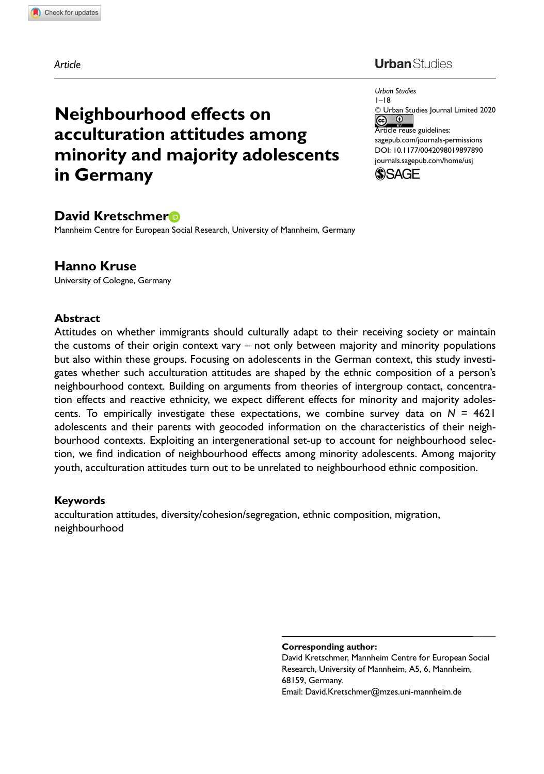Article

## **Urban** Studies

Urban Studies 1–18 - Urban Studies Journal Limited 2020  $\circledcirc$ Article reuse guidelines: [sagepub.com/journals-permissions](https://uk.sagepub.com/en-gb/journals-permissions) [DOI: 10.1177/0042098019897890](https://doi.org/10.1177/0042098019897890) <journals.sagepub.com/home/usj>



# David Kretschmer

in Germany

Neighbourhood effects on

acculturation attitudes among

minority and majority adolescents

Mannheim Centre for European Social Research, University of Mannheim, Germany

#### Hanno Kruse

University of Cologne, Germany

#### Abstract

Attitudes on whether immigrants should culturally adapt to their receiving society or maintain the customs of their origin context vary – not only between majority and minority populations but also within these groups. Focusing on adolescents in the German context, this study investigates whether such acculturation attitudes are shaped by the ethnic composition of a person's neighbourhood context. Building on arguments from theories of intergroup contact, concentration effects and reactive ethnicity, we expect different effects for minority and majority adolescents. To empirically investigate these expectations, we combine survey data on  $N = 4621$ adolescents and their parents with geocoded information on the characteristics of their neighbourhood contexts. Exploiting an intergenerational set-up to account for neighbourhood selection, we find indication of neighbourhood effects among minority adolescents. Among majority youth, acculturation attitudes turn out to be unrelated to neighbourhood ethnic composition.

#### Keywords

acculturation attitudes, diversity/cohesion/segregation, ethnic composition, migration, neighbourhood

Corresponding author:

David Kretschmer, Mannheim Centre for European Social Research, University of Mannheim, A5, 6, Mannheim, 68159, Germany. Email: David.Kretschmer@mzes.uni-mannheim.de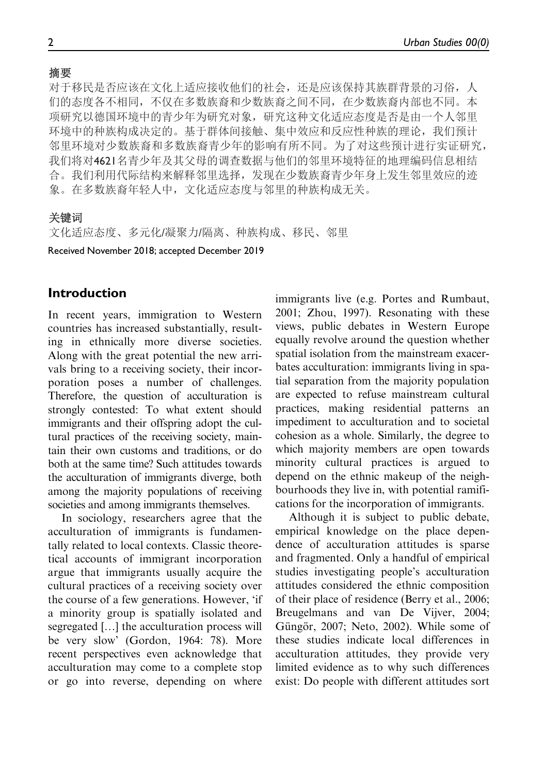对于移民是否应该在文化上适应接收他们的社会,还是应该保持其族群背景的习俗,人 们的态度各不相同,不仅在多数族裔和少数族裔之间不同,在少数族裔内部也不同。本 项研究以德国环境中的青少年为研究对象,研究这种文化适应态度是否是由一个人邻里 环境中的种族构成决定的。基于群体间接触、集中效应和反应性种族的理论,我们预计 邻里环境对少数族裔和多数族裔青少年的影响有所不同。为了对这些预计进行实证研究, 我们将对4621名青少年及其父母的调查数据与他们的邻里环境特征的地理编码信息相结 合。我们利用代际结构来解释邻里选择,发现在少数族裔青少年身上发生邻里效应的迹 象。在多数族裔年轻人中,文化适应态度与邻里的种族构成无关。

### 关键词

文化适应态度、多元化/凝聚力/隔离、种族构成、移民、邻里

Received November 2018; accepted December 2019

## Introduction

In recent years, immigration to Western countries has increased substantially, resulting in ethnically more diverse societies. Along with the great potential the new arrivals bring to a receiving society, their incorporation poses a number of challenges. Therefore, the question of acculturation is strongly contested: To what extent should immigrants and their offspring adopt the cultural practices of the receiving society, maintain their own customs and traditions, or do both at the same time? Such attitudes towards the acculturation of immigrants diverge, both among the majority populations of receiving societies and among immigrants themselves.

In sociology, researchers agree that the acculturation of immigrants is fundamentally related to local contexts. Classic theoretical accounts of immigrant incorporation argue that immigrants usually acquire the cultural practices of a receiving society over the course of a few generations. However, 'if a minority group is spatially isolated and segregated [...] the acculturation process will be very slow' (Gordon, 1964: 78). More recent perspectives even acknowledge that acculturation may come to a complete stop or go into reverse, depending on where

immigrants live (e.g. Portes and Rumbaut, 2001; Zhou, 1997). Resonating with these views, public debates in Western Europe equally revolve around the question whether spatial isolation from the mainstream exacerbates acculturation: immigrants living in spatial separation from the majority population are expected to refuse mainstream cultural practices, making residential patterns an impediment to acculturation and to societal cohesion as a whole. Similarly, the degree to which majority members are open towards minority cultural practices is argued to depend on the ethnic makeup of the neighbourhoods they live in, with potential ramifications for the incorporation of immigrants.

Although it is subject to public debate, empirical knowledge on the place dependence of acculturation attitudes is sparse and fragmented. Only a handful of empirical studies investigating people's acculturation attitudes considered the ethnic composition of their place of residence (Berry et al., 2006; Breugelmans and van De Vijver, 2004; Güngör, 2007; Neto, 2002). While some of these studies indicate local differences in acculturation attitudes, they provide very limited evidence as to why such differences exist: Do people with different attitudes sort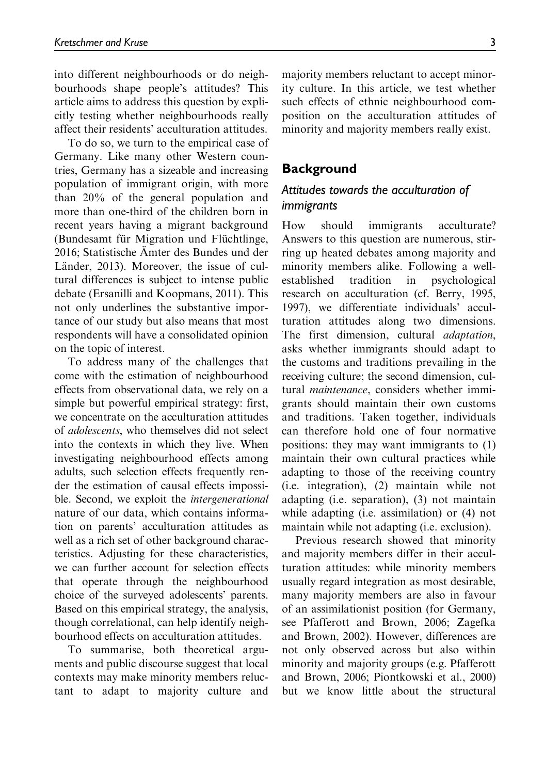into different neighbourhoods or do neighbourhoods shape people's attitudes? This article aims to address this question by explicitly testing whether neighbourhoods really affect their residents' acculturation attitudes.

To do so, we turn to the empirical case of Germany. Like many other Western countries, Germany has a sizeable and increasing population of immigrant origin, with more than 20% of the general population and more than one-third of the children born in recent years having a migrant background (Bundesamt für Migration und Flüchtlinge, 2016; Statistische A¨mter des Bundes und der Länder, 2013). Moreover, the issue of cultural differences is subject to intense public debate (Ersanilli and Koopmans, 2011). This not only underlines the substantive importance of our study but also means that most respondents will have a consolidated opinion on the topic of interest.

To address many of the challenges that come with the estimation of neighbourhood effects from observational data, we rely on a simple but powerful empirical strategy: first, we concentrate on the acculturation attitudes of adolescents, who themselves did not select into the contexts in which they live. When investigating neighbourhood effects among adults, such selection effects frequently render the estimation of causal effects impossible. Second, we exploit the intergenerational nature of our data, which contains information on parents' acculturation attitudes as well as a rich set of other background characteristics. Adjusting for these characteristics, we can further account for selection effects that operate through the neighbourhood choice of the surveyed adolescents' parents. Based on this empirical strategy, the analysis, though correlational, can help identify neighbourhood effects on acculturation attitudes.

To summarise, both theoretical arguments and public discourse suggest that local contexts may make minority members reluctant to adapt to majority culture and majority members reluctant to accept minority culture. In this article, we test whether such effects of ethnic neighbourhood composition on the acculturation attitudes of minority and majority members really exist.

#### **Background**

## Attitudes towards the acculturation of immigrants

How should immigrants acculturate? Answers to this question are numerous, stirring up heated debates among majority and minority members alike. Following a wellestablished tradition in psychological research on acculturation (cf. Berry, 1995, 1997), we differentiate individuals' acculturation attitudes along two dimensions. The first dimension, cultural *adaptation*, asks whether immigrants should adapt to the customs and traditions prevailing in the receiving culture; the second dimension, cultural maintenance, considers whether immigrants should maintain their own customs and traditions. Taken together, individuals can therefore hold one of four normative positions: they may want immigrants to (1) maintain their own cultural practices while adapting to those of the receiving country (i.e. integration), (2) maintain while not adapting (i.e. separation), (3) not maintain while adapting (i.e. assimilation) or (4) not maintain while not adapting (i.e. exclusion).

Previous research showed that minority and majority members differ in their acculturation attitudes: while minority members usually regard integration as most desirable, many majority members are also in favour of an assimilationist position (for Germany, see Pfafferott and Brown, 2006; Zagefka and Brown, 2002). However, differences are not only observed across but also within minority and majority groups (e.g. Pfafferott and Brown, 2006; Piontkowski et al., 2000) but we know little about the structural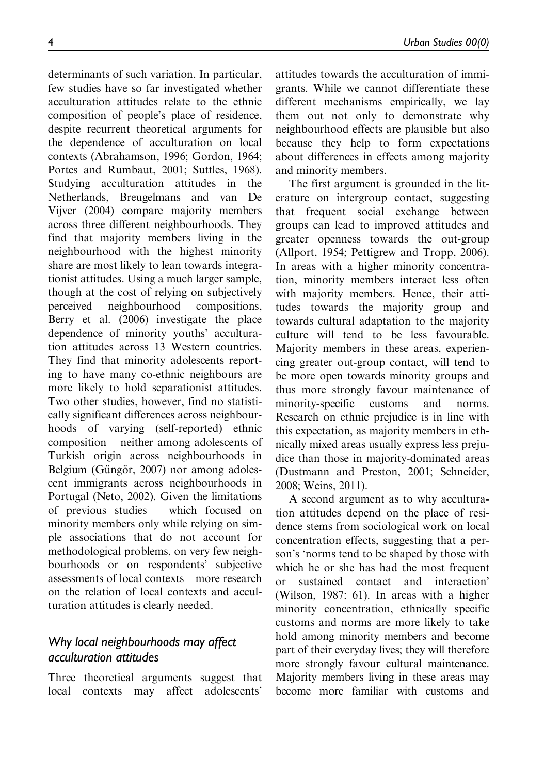determinants of such variation. In particular, few studies have so far investigated whether acculturation attitudes relate to the ethnic composition of people's place of residence, despite recurrent theoretical arguments for the dependence of acculturation on local contexts (Abrahamson, 1996; Gordon, 1964; Portes and Rumbaut, 2001; Suttles, 1968). Studying acculturation attitudes in the Netherlands, Breugelmans and van De Vijver (2004) compare majority members across three different neighbourhoods. They find that majority members living in the neighbourhood with the highest minority share are most likely to lean towards integrationist attitudes. Using a much larger sample, though at the cost of relying on subjectively perceived neighbourhood compositions, Berry et al. (2006) investigate the place dependence of minority youths' acculturation attitudes across 13 Western countries. They find that minority adolescents reporting to have many co-ethnic neighbours are more likely to hold separationist attitudes. Two other studies, however, find no statistically significant differences across neighbourhoods of varying (self-reported) ethnic composition – neither among adolescents of Turkish origin across neighbourhoods in Belgium (Güngör, 2007) nor among adolescent immigrants across neighbourhoods in Portugal (Neto, 2002). Given the limitations of previous studies – which focused on minority members only while relying on simple associations that do not account for methodological problems, on very few neighbourhoods or on respondents' subjective assessments of local contexts – more research on the relation of local contexts and acculturation attitudes is clearly needed.

# Why local neighbourhoods may affect acculturation attitudes

Three theoretical arguments suggest that local contexts may affect adolescents'

attitudes towards the acculturation of immigrants. While we cannot differentiate these different mechanisms empirically, we lay them out not only to demonstrate why neighbourhood effects are plausible but also because they help to form expectations about differences in effects among majority and minority members.

The first argument is grounded in the literature on intergroup contact, suggesting that frequent social exchange between groups can lead to improved attitudes and greater openness towards the out-group (Allport, 1954; Pettigrew and Tropp, 2006). In areas with a higher minority concentration, minority members interact less often with majority members. Hence, their attitudes towards the majority group and towards cultural adaptation to the majority culture will tend to be less favourable. Majority members in these areas, experiencing greater out-group contact, will tend to be more open towards minority groups and thus more strongly favour maintenance of minority-specific customs and norms. Research on ethnic prejudice is in line with this expectation, as majority members in ethnically mixed areas usually express less prejudice than those in majority-dominated areas (Dustmann and Preston, 2001; Schneider, 2008; Weins, 2011).

A second argument as to why acculturation attitudes depend on the place of residence stems from sociological work on local concentration effects, suggesting that a person's 'norms tend to be shaped by those with which he or she has had the most frequent or sustained contact and interaction' (Wilson, 1987: 61). In areas with a higher minority concentration, ethnically specific customs and norms are more likely to take hold among minority members and become part of their everyday lives; they will therefore more strongly favour cultural maintenance. Majority members living in these areas may become more familiar with customs and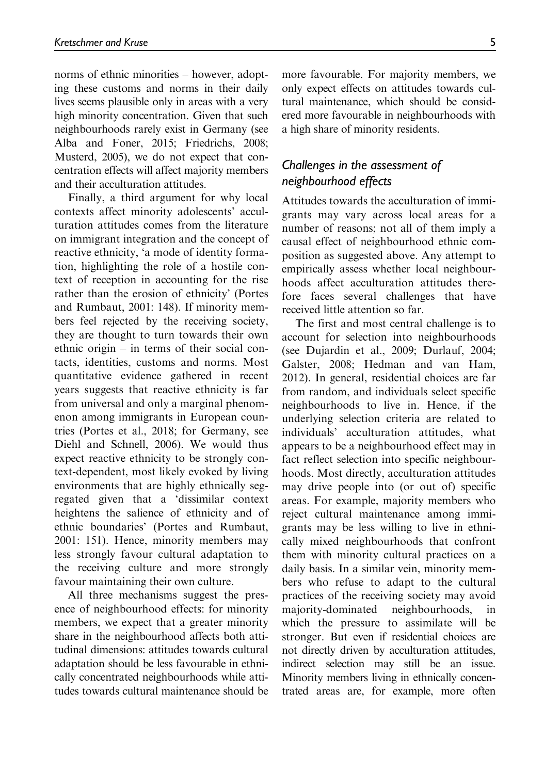norms of ethnic minorities – however, adopting these customs and norms in their daily lives seems plausible only in areas with a very high minority concentration. Given that such neighbourhoods rarely exist in Germany (see Alba and Foner, 2015; Friedrichs, 2008; Musterd, 2005), we do not expect that concentration effects will affect majority members and their acculturation attitudes.

Finally, a third argument for why local contexts affect minority adolescents' acculturation attitudes comes from the literature on immigrant integration and the concept of reactive ethnicity, 'a mode of identity formation, highlighting the role of a hostile context of reception in accounting for the rise rather than the erosion of ethnicity' (Portes and Rumbaut, 2001: 148). If minority members feel rejected by the receiving society, they are thought to turn towards their own ethnic origin – in terms of their social contacts, identities, customs and norms. Most quantitative evidence gathered in recent years suggests that reactive ethnicity is far from universal and only a marginal phenomenon among immigrants in European countries (Portes et al., 2018; for Germany, see Diehl and Schnell, 2006). We would thus expect reactive ethnicity to be strongly context-dependent, most likely evoked by living environments that are highly ethnically segregated given that a 'dissimilar context heightens the salience of ethnicity and of ethnic boundaries' (Portes and Rumbaut, 2001: 151). Hence, minority members may less strongly favour cultural adaptation to the receiving culture and more strongly favour maintaining their own culture.

All three mechanisms suggest the presence of neighbourhood effects: for minority members, we expect that a greater minority share in the neighbourhood affects both attitudinal dimensions: attitudes towards cultural adaptation should be less favourable in ethnically concentrated neighbourhoods while attitudes towards cultural maintenance should be more favourable. For majority members, we only expect effects on attitudes towards cultural maintenance, which should be considered more favourable in neighbourhoods with a high share of minority residents.

## Challenges in the assessment of neighbourhood effects

Attitudes towards the acculturation of immigrants may vary across local areas for a number of reasons; not all of them imply a causal effect of neighbourhood ethnic composition as suggested above. Any attempt to empirically assess whether local neighbourhoods affect acculturation attitudes therefore faces several challenges that have received little attention so far.

The first and most central challenge is to account for selection into neighbourhoods (see Dujardin et al., 2009; Durlauf, 2004; Galster, 2008; Hedman and van Ham, 2012). In general, residential choices are far from random, and individuals select specific neighbourhoods to live in. Hence, if the underlying selection criteria are related to individuals' acculturation attitudes, what appears to be a neighbourhood effect may in fact reflect selection into specific neighbourhoods. Most directly, acculturation attitudes may drive people into (or out of) specific areas. For example, majority members who reject cultural maintenance among immigrants may be less willing to live in ethnically mixed neighbourhoods that confront them with minority cultural practices on a daily basis. In a similar vein, minority members who refuse to adapt to the cultural practices of the receiving society may avoid majority-dominated neighbourhoods, in which the pressure to assimilate will be stronger. But even if residential choices are not directly driven by acculturation attitudes, indirect selection may still be an issue. Minority members living in ethnically concentrated areas are, for example, more often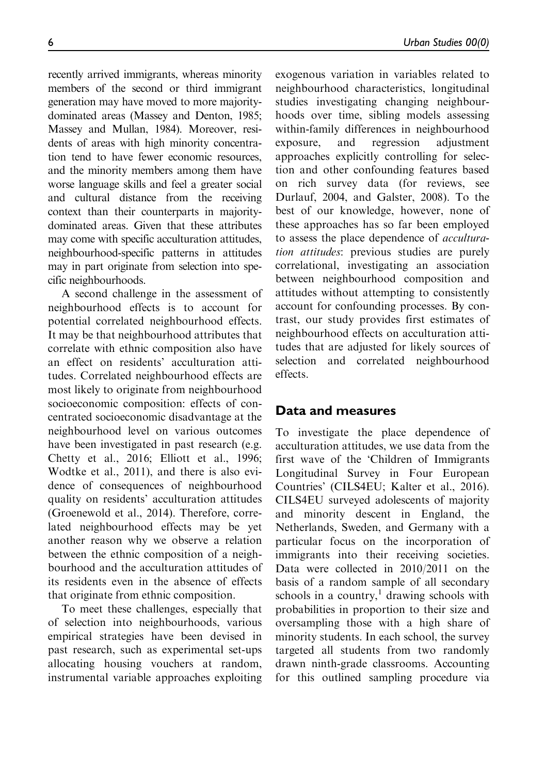recently arrived immigrants, whereas minority members of the second or third immigrant generation may have moved to more majoritydominated areas (Massey and Denton, 1985; Massey and Mullan, 1984). Moreover, residents of areas with high minority concentration tend to have fewer economic resources, and the minority members among them have worse language skills and feel a greater social and cultural distance from the receiving context than their counterparts in majoritydominated areas. Given that these attributes may come with specific acculturation attitudes, neighbourhood-specific patterns in attitudes may in part originate from selection into specific neighbourhoods.

A second challenge in the assessment of neighbourhood effects is to account for potential correlated neighbourhood effects. It may be that neighbourhood attributes that correlate with ethnic composition also have an effect on residents' acculturation attitudes. Correlated neighbourhood effects are most likely to originate from neighbourhood socioeconomic composition: effects of concentrated socioeconomic disadvantage at the neighbourhood level on various outcomes have been investigated in past research (e.g. Chetty et al., 2016; Elliott et al., 1996; Wodtke et al., 2011), and there is also evidence of consequences of neighbourhood quality on residents' acculturation attitudes (Groenewold et al., 2014). Therefore, correlated neighbourhood effects may be yet another reason why we observe a relation between the ethnic composition of a neighbourhood and the acculturation attitudes of its residents even in the absence of effects that originate from ethnic composition.

To meet these challenges, especially that of selection into neighbourhoods, various empirical strategies have been devised in past research, such as experimental set-ups allocating housing vouchers at random, instrumental variable approaches exploiting exogenous variation in variables related to neighbourhood characteristics, longitudinal studies investigating changing neighbourhoods over time, sibling models assessing within-family differences in neighbourhood exposure, and regression adjustment approaches explicitly controlling for selection and other confounding features based on rich survey data (for reviews, see Durlauf, 2004, and Galster, 2008). To the best of our knowledge, however, none of these approaches has so far been employed to assess the place dependence of acculturation attitudes: previous studies are purely correlational, investigating an association between neighbourhood composition and attitudes without attempting to consistently account for confounding processes. By contrast, our study provides first estimates of neighbourhood effects on acculturation attitudes that are adjusted for likely sources of selection and correlated neighbourhood effects.

## Data and measures

To investigate the place dependence of acculturation attitudes, we use data from the first wave of the 'Children of Immigrants Longitudinal Survey in Four European Countries' (CILS4EU; Kalter et al., 2016). CILS4EU surveyed adolescents of majority and minority descent in England, the Netherlands, Sweden, and Germany with a particular focus on the incorporation of immigrants into their receiving societies. Data were collected in 2010/2011 on the basis of a random sample of all secondary schools in a country, $\frac{1}{1}$  drawing schools with probabilities in proportion to their size and oversampling those with a high share of minority students. In each school, the survey targeted all students from two randomly drawn ninth-grade classrooms. Accounting for this outlined sampling procedure via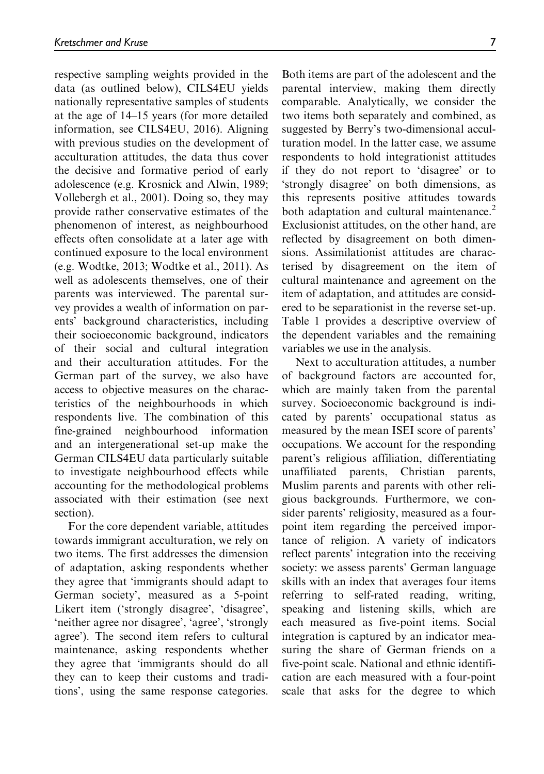respective sampling weights provided in the data (as outlined below), CILS4EU yields nationally representative samples of students at the age of 14–15 years (for more detailed information, see CILS4EU, 2016). Aligning with previous studies on the development of acculturation attitudes, the data thus cover the decisive and formative period of early adolescence (e.g. Krosnick and Alwin, 1989; Vollebergh et al., 2001). Doing so, they may provide rather conservative estimates of the phenomenon of interest, as neighbourhood effects often consolidate at a later age with continued exposure to the local environment (e.g. Wodtke, 2013; Wodtke et al., 2011). As well as adolescents themselves, one of their parents was interviewed. The parental survey provides a wealth of information on parents' background characteristics, including their socioeconomic background, indicators of their social and cultural integration and their acculturation attitudes. For the German part of the survey, we also have access to objective measures on the characteristics of the neighbourhoods in which respondents live. The combination of this fine-grained neighbourhood information and an intergenerational set-up make the German CILS4EU data particularly suitable to investigate neighbourhood effects while accounting for the methodological problems associated with their estimation (see next section).

For the core dependent variable, attitudes towards immigrant acculturation, we rely on two items. The first addresses the dimension of adaptation, asking respondents whether they agree that 'immigrants should adapt to German society', measured as a 5-point Likert item ('strongly disagree', 'disagree', 'neither agree nor disagree', 'agree', 'strongly agree'). The second item refers to cultural maintenance, asking respondents whether they agree that 'immigrants should do all they can to keep their customs and traditions', using the same response categories.

Both items are part of the adolescent and the parental interview, making them directly comparable. Analytically, we consider the two items both separately and combined, as suggested by Berry's two-dimensional acculturation model. In the latter case, we assume respondents to hold integrationist attitudes if they do not report to 'disagree' or to 'strongly disagree' on both dimensions, as this represents positive attitudes towards both adaptation and cultural maintenance.<sup>2</sup> Exclusionist attitudes, on the other hand, are reflected by disagreement on both dimensions. Assimilationist attitudes are characterised by disagreement on the item of cultural maintenance and agreement on the item of adaptation, and attitudes are considered to be separationist in the reverse set-up. Table 1 provides a descriptive overview of the dependent variables and the remaining variables we use in the analysis.

Next to acculturation attitudes, a number of background factors are accounted for, which are mainly taken from the parental survey. Socioeconomic background is indicated by parents' occupational status as measured by the mean ISEI score of parents' occupations. We account for the responding parent's religious affiliation, differentiating unaffiliated parents, Christian parents, Muslim parents and parents with other religious backgrounds. Furthermore, we consider parents' religiosity, measured as a fourpoint item regarding the perceived importance of religion. A variety of indicators reflect parents' integration into the receiving society: we assess parents' German language skills with an index that averages four items referring to self-rated reading, writing, speaking and listening skills, which are each measured as five-point items. Social integration is captured by an indicator measuring the share of German friends on a five-point scale. National and ethnic identification are each measured with a four-point scale that asks for the degree to which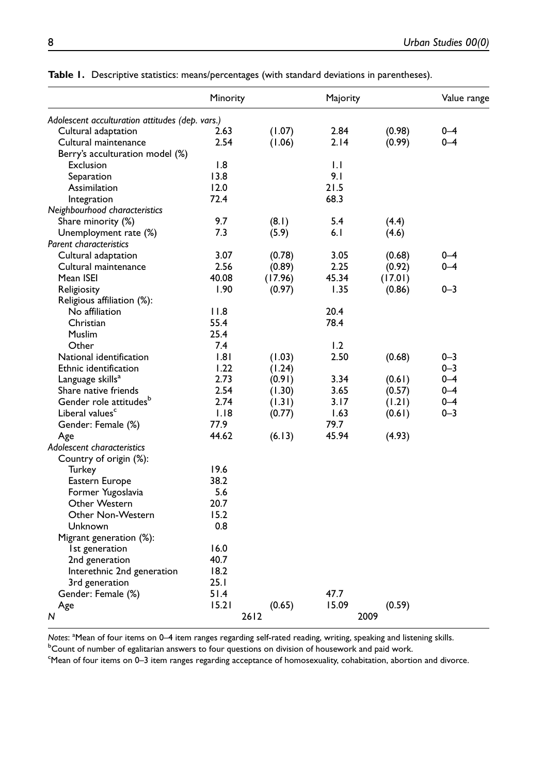|                                                 | Minority |         | Majority |         | Value range |
|-------------------------------------------------|----------|---------|----------|---------|-------------|
| Adolescent acculturation attitudes (dep. vars.) |          |         |          |         |             |
| Cultural adaptation                             | 2.63     | (1.07)  | 2.84     | (0.98)  | $0 - 4$     |
| Cultural maintenance                            | 2.54     | (1.06)  | 2.14     | (0.99)  | $0 - 4$     |
| Berry's acculturation model (%)                 |          |         |          |         |             |
| Exclusion                                       | 1.8      |         | 1.1      |         |             |
| Separation                                      | 13.8     |         | 9.1      |         |             |
| Assimilation                                    | 12.0     |         | 21.5     |         |             |
| Integration                                     | 72.4     |         | 68.3     |         |             |
| Neighbourhood characteristics                   |          |         |          |         |             |
| Share minority (%)                              | 9.7      | (8.1)   | 5.4      | (4.4)   |             |
| Unemployment rate (%)                           | 7.3      | (5.9)   | 6.1      | (4.6)   |             |
| <b>Parent characteristics</b>                   |          |         |          |         |             |
| Cultural adaptation                             | 3.07     | (0.78)  | 3.05     | (0.68)  | 0-4         |
| Cultural maintenance                            | 2.56     | (0.89)  | 2.25     | (0.92)  | $0 - 4$     |
| Mean ISEI                                       | 40.08    | (17.96) | 45.34    | (17.01) |             |
| Religiosity                                     | 1.90     | (0.97)  | 1.35     | (0.86)  | $0 - 3$     |
| Religious affiliation (%):                      |          |         |          |         |             |
| No affiliation                                  | 11.8     |         | 20.4     |         |             |
| Christian                                       | 55.4     |         | 78.4     |         |             |
| Muslim                                          | 25.4     |         |          |         |             |
| Other                                           | 7.4      |         | 1.2      |         |             |
| National identification                         | .8       | (1.03)  | 2.50     | (0.68)  | $0 - 3$     |
| Ethnic identification                           | 1.22     | (1.24)  |          |         | $0 - 3$     |
| Language skills <sup>a</sup>                    | 2.73     | (0.91)  | 3.34     | (0.61)  | $0 - 4$     |
| Share native friends                            | 2.54     | (1.30)  | 3.65     | (0.57)  | $0 - 4$     |
| Gender role attitudes <sup>b</sup>              | 2.74     | (1.31)  | 3.17     | (1.21)  | $0 - 4$     |
| Liberal values <sup>c</sup>                     | 1.18     | (0.77)  | 1.63     | (0.61)  | $0 - 3$     |
| Gender: Female (%)                              | 77.9     |         | 79.7     |         |             |
| Age                                             | 44.62    | (6.13)  | 45.94    | (4.93)  |             |
| Adolescent characteristics                      |          |         |          |         |             |
| Country of origin (%):                          |          |         |          |         |             |
| Turkey                                          | 19.6     |         |          |         |             |
| Eastern Europe                                  | 38.2     |         |          |         |             |
| Former Yugoslavia                               | 5.6      |         |          |         |             |
| Other Western                                   | 20.7     |         |          |         |             |
| Other Non-Western                               | 15.2     |         |          |         |             |
| Unknown                                         | 0.8      |         |          |         |             |
| Migrant generation (%):                         |          |         |          |         |             |
| Ist generation                                  | 16.0     |         |          |         |             |
| 2nd generation                                  | 40.7     |         |          |         |             |
| Interethnic 2nd generation                      | 18.2     |         |          |         |             |
| 3rd generation                                  | 25.1     |         |          |         |             |
| Gender: Female (%)                              | 51.4     |         | 47.7     |         |             |
| Age                                             | 15.21    | (0.65)  | 15.09    | (0.59)  |             |
| N                                               | 2612     |         | 2009     |         |             |
|                                                 |          |         |          |         |             |

Table 1. Descriptive statistics: means/percentages (with standard deviations in parentheses).

Notes: <sup>a</sup>Mean of four items on 0–4 item ranges regarding self-rated reading, writing, speaking and listening skills.<br><sup>b</sup>Count of pumber of esplitation appyees to four questions on division of bousework and paid work.

<sup>b</sup>Count of number of egalitarian answers to four questions on division of housework and paid work.

c Mean of four items on 0–3 item ranges regarding acceptance of homosexuality, cohabitation, abortion and divorce.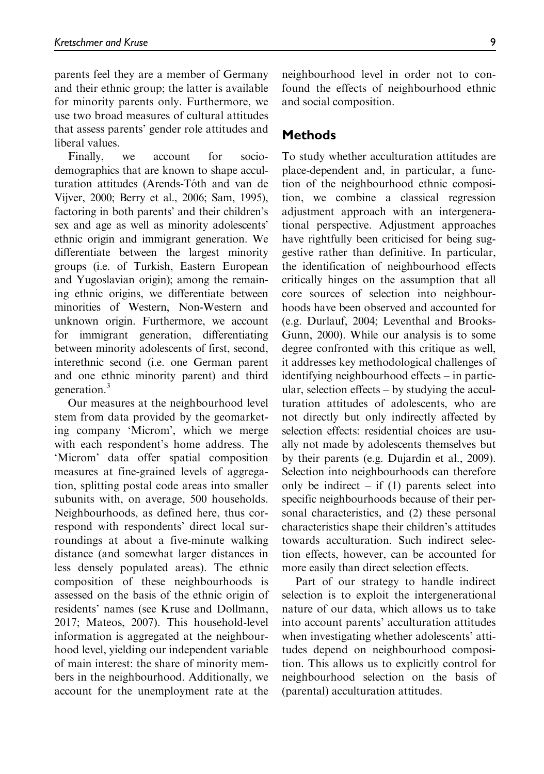parents feel they are a member of Germany and their ethnic group; the latter is available for minority parents only. Furthermore, we use two broad measures of cultural attitudes that assess parents' gender role attitudes and liberal values.

Finally, we account for sociodemographics that are known to shape acculturation attitudes (Arends-Tóth and van de Vijver, 2000; Berry et al., 2006; Sam, 1995), factoring in both parents' and their children's sex and age as well as minority adolescents' ethnic origin and immigrant generation. We differentiate between the largest minority groups (i.e. of Turkish, Eastern European and Yugoslavian origin); among the remaining ethnic origins, we differentiate between minorities of Western, Non-Western and unknown origin. Furthermore, we account for immigrant generation, differentiating between minority adolescents of first, second, interethnic second (i.e. one German parent and one ethnic minority parent) and third generation.<sup>3</sup>

Our measures at the neighbourhood level stem from data provided by the geomarketing company 'Microm', which we merge with each respondent's home address. The 'Microm' data offer spatial composition measures at fine-grained levels of aggregation, splitting postal code areas into smaller subunits with, on average, 500 households. Neighbourhoods, as defined here, thus correspond with respondents' direct local surroundings at about a five-minute walking distance (and somewhat larger distances in less densely populated areas). The ethnic composition of these neighbourhoods is assessed on the basis of the ethnic origin of residents' names (see Kruse and Dollmann, 2017; Mateos, 2007). This household-level information is aggregated at the neighbourhood level, yielding our independent variable of main interest: the share of minority members in the neighbourhood. Additionally, we account for the unemployment rate at the

neighbourhood level in order not to confound the effects of neighbourhood ethnic and social composition.

## Methods

To study whether acculturation attitudes are place-dependent and, in particular, a function of the neighbourhood ethnic composition, we combine a classical regression adjustment approach with an intergenerational perspective. Adjustment approaches have rightfully been criticised for being suggestive rather than definitive. In particular, the identification of neighbourhood effects critically hinges on the assumption that all core sources of selection into neighbourhoods have been observed and accounted for (e.g. Durlauf, 2004; Leventhal and Brooks-Gunn, 2000). While our analysis is to some degree confronted with this critique as well, it addresses key methodological challenges of identifying neighbourhood effects – in particular, selection effects – by studying the acculturation attitudes of adolescents, who are not directly but only indirectly affected by selection effects: residential choices are usually not made by adolescents themselves but by their parents (e.g. Dujardin et al., 2009). Selection into neighbourhoods can therefore only be indirect – if  $(1)$  parents select into specific neighbourhoods because of their personal characteristics, and (2) these personal characteristics shape their children's attitudes towards acculturation. Such indirect selection effects, however, can be accounted for more easily than direct selection effects.

Part of our strategy to handle indirect selection is to exploit the intergenerational nature of our data, which allows us to take into account parents' acculturation attitudes when investigating whether adolescents' attitudes depend on neighbourhood composition. This allows us to explicitly control for neighbourhood selection on the basis of (parental) acculturation attitudes.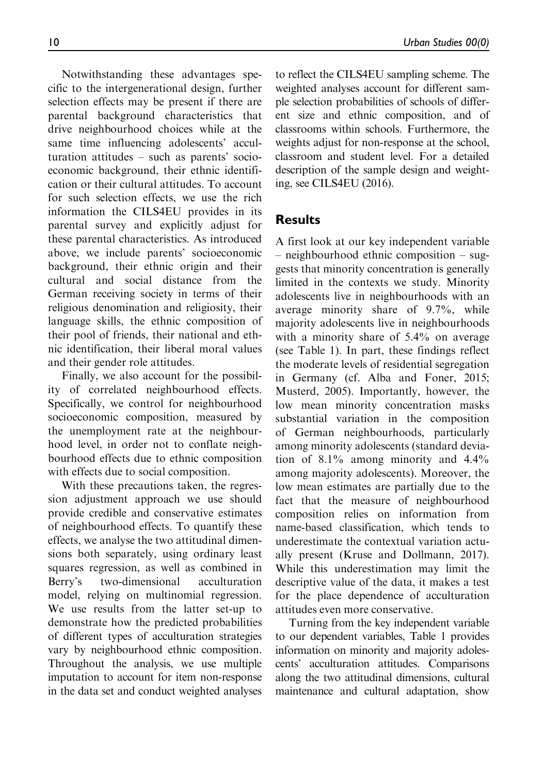Notwithstanding these advantages specific to the intergenerational design, further selection effects may be present if there are parental background characteristics that drive neighbourhood choices while at the same time influencing adolescents' acculturation attitudes – such as parents' socioeconomic background, their ethnic identification or their cultural attitudes. To account for such selection effects, we use the rich information the CILS4EU provides in its parental survey and explicitly adjust for these parental characteristics. As introduced above, we include parents' socioeconomic background, their ethnic origin and their cultural and social distance from the German receiving society in terms of their religious denomination and religiosity, their language skills, the ethnic composition of their pool of friends, their national and ethnic identification, their liberal moral values and their gender role attitudes.

Finally, we also account for the possibility of correlated neighbourhood effects. Specifically, we control for neighbourhood socioeconomic composition, measured by the unemployment rate at the neighbourhood level, in order not to conflate neighbourhood effects due to ethnic composition with effects due to social composition.

With these precautions taken, the regression adjustment approach we use should provide credible and conservative estimates of neighbourhood effects. To quantify these effects, we analyse the two attitudinal dimensions both separately, using ordinary least squares regression, as well as combined in Berry's two-dimensional acculturation model, relying on multinomial regression. We use results from the latter set-up to demonstrate how the predicted probabilities of different types of acculturation strategies vary by neighbourhood ethnic composition. Throughout the analysis, we use multiple imputation to account for item non-response in the data set and conduct weighted analyses to reflect the CILS4EU sampling scheme. The weighted analyses account for different sample selection probabilities of schools of different size and ethnic composition, and of classrooms within schools. Furthermore, the weights adjust for non-response at the school, classroom and student level. For a detailed description of the sample design and weighting, see CILS4EU (2016).

# Results

A first look at our key independent variable – neighbourhood ethnic composition – suggests that minority concentration is generally limited in the contexts we study. Minority adolescents live in neighbourhoods with an average minority share of 9.7%, while majority adolescents live in neighbourhoods with a minority share of 5.4% on average (see Table 1). In part, these findings reflect the moderate levels of residential segregation in Germany (cf. Alba and Foner, 2015; Musterd, 2005). Importantly, however, the low mean minority concentration masks substantial variation in the composition of German neighbourhoods, particularly among minority adolescents (standard deviation of 8.1% among minority and 4.4% among majority adolescents). Moreover, the low mean estimates are partially due to the fact that the measure of neighbourhood composition relies on information from name-based classification, which tends to underestimate the contextual variation actually present (Kruse and Dollmann, 2017). While this underestimation may limit the descriptive value of the data, it makes a test for the place dependence of acculturation attitudes even more conservative.

Turning from the key independent variable to our dependent variables, Table 1 provides information on minority and majority adolescents' acculturation attitudes. Comparisons along the two attitudinal dimensions, cultural maintenance and cultural adaptation, show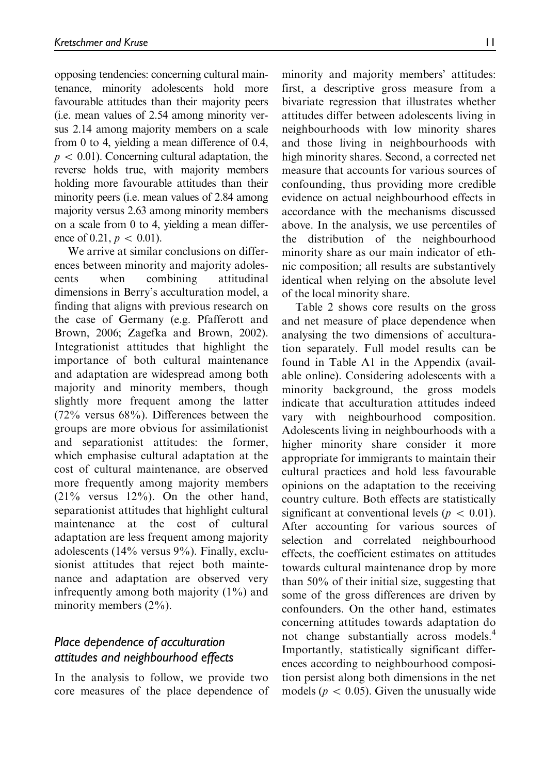opposing tendencies: concerning cultural maintenance, minority adolescents hold more favourable attitudes than their majority peers (i.e. mean values of 2.54 among minority versus 2.14 among majority members on a scale from 0 to 4, yielding a mean difference of 0.4,  $p \, < \, 0.01$ ). Concerning cultural adaptation, the reverse holds true, with majority members holding more favourable attitudes than their minority peers (i.e. mean values of 2.84 among majority versus 2.63 among minority members on a scale from 0 to 4, yielding a mean difference of 0.21,  $p \, < 0.01$ ).

We arrive at similar conclusions on differences between minority and majority adolescents when combining attitudinal dimensions in Berry's acculturation model, a finding that aligns with previous research on the case of Germany (e.g. Pfafferott and Brown, 2006; Zagefka and Brown, 2002). Integrationist attitudes that highlight the importance of both cultural maintenance and adaptation are widespread among both majority and minority members, though slightly more frequent among the latter (72% versus 68%). Differences between the groups are more obvious for assimilationist and separationist attitudes: the former, which emphasise cultural adaptation at the cost of cultural maintenance, are observed more frequently among majority members  $(21\%$  versus  $12\%$ ). On the other hand, separationist attitudes that highlight cultural maintenance at the cost of cultural adaptation are less frequent among majority adolescents (14% versus 9%). Finally, exclusionist attitudes that reject both maintenance and adaptation are observed very infrequently among both majority (1%) and minority members (2%).

# Place dependence of acculturation attitudes and neighbourhood effects

In the analysis to follow, we provide two core measures of the place dependence of minority and majority members' attitudes: first, a descriptive gross measure from a bivariate regression that illustrates whether attitudes differ between adolescents living in neighbourhoods with low minority shares and those living in neighbourhoods with high minority shares. Second, a corrected net measure that accounts for various sources of confounding, thus providing more credible evidence on actual neighbourhood effects in accordance with the mechanisms discussed above. In the analysis, we use percentiles of the distribution of the neighbourhood minority share as our main indicator of ethnic composition; all results are substantively identical when relying on the absolute level of the local minority share.

Table 2 shows core results on the gross and net measure of place dependence when analysing the two dimensions of acculturation separately. Full model results can be found in Table A1 in the Appendix (available online). Considering adolescents with a minority background, the gross models indicate that acculturation attitudes indeed vary with neighbourhood composition. Adolescents living in neighbourhoods with a higher minority share consider it more appropriate for immigrants to maintain their cultural practices and hold less favourable opinions on the adaptation to the receiving country culture. Both effects are statistically significant at conventional levels ( $p \, < \, 0.01$ ). After accounting for various sources of selection and correlated neighbourhood effects, the coefficient estimates on attitudes towards cultural maintenance drop by more than 50% of their initial size, suggesting that some of the gross differences are driven by confounders. On the other hand, estimates concerning attitudes towards adaptation do not change substantially across models.4 Importantly, statistically significant differences according to neighbourhood composition persist along both dimensions in the net models ( $p \, < 0.05$ ). Given the unusually wide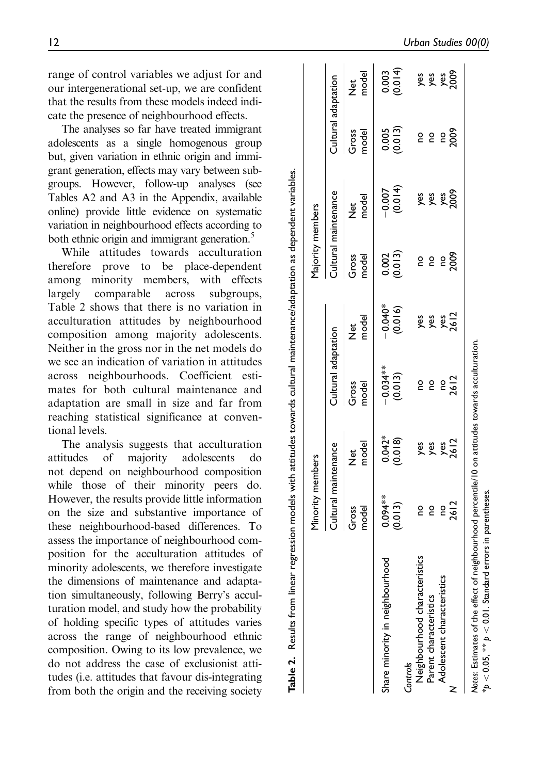range of control variables we adjust for and our intergenerational set-up, we are confident that the results from these models indeed indicate the presence of neighbourhood effects.

The analyses so far have treated immigrant adolescents as a single homogenous group but, given variation in ethnic origin and immigrant generation, effects may vary between subgroups. However, follow-up analyses (see Tables A2 and A3 in the Appendix, available online) provide little evidence on systematic variation in neighbourhood effects according to both ethnic origin and immigrant generation.<sup>5</sup>

While attitudes towards acculturation therefore prove to be place-dependent among minority members, with effects largely comparable across subgroups, Table 2 shows that there is no variation in acculturation attitudes by neighbourhood composition among majority adolescents. Neither in the gross nor in the net models do we see an indication of variation in attitudes across neighbourhoods. Coefficient estimates for both cultural maintenance and adaptation are small in size and far from reaching statistical significance at conventional levels.

The analysis suggests that acculturation attitudes of majority adolescents do not depend on neighbourhood composition while those of their minority peers do. However, the results provide little information on the size and substantive importance of these neighbourhood-based differences. To assess the importance of neighbourhood composition for the acculturation attitudes of minority adolescents, we therefore investigate the dimensions of maintenance and adaptation simultaneously, following Berry's acculturation model, and study how the probability of holding specific types of attitudes varies across the range of neighbourhood ethnic composition. Owing to its low prevalence, we do not address the case of exclusionist attitudes (i.e. attitudes that favour dis-integrating from both the origin and the receiving society

|                                 | Minority members      |                        |                     |                           | Majority members |                      |                     |                      |
|---------------------------------|-----------------------|------------------------|---------------------|---------------------------|------------------|----------------------|---------------------|----------------------|
|                                 | Cultural maintenance  |                        | Cultural adaptation |                           |                  | Cultural maintenance | Cultural adaptation |                      |
|                                 | model<br>Gross        | model<br>et<br>Z       | model<br>Gross      | model<br>or<br>Z          | model<br>Gross   | model<br>)<br>Z      | model<br>Gross      | model<br>et<br>Z     |
| Share minority in neighbourhood |                       | $0.042*$               | $-0.034***$         |                           |                  |                      |                     |                      |
|                                 | $0.094***$<br>(0.013) | (0.018)                | (0.013)             | $-0.040^{*}$<br>(0.016)   | 0.002<br>(0.013) | $-0.007$<br>(0.014)  | 0.005<br>(0.013)    | $0.003$<br>$(0.014)$ |
| Controls                        |                       |                        |                     |                           |                  |                      |                     |                      |
| Neighbourhood characteristics   | g                     |                        | 0u                  |                           | <u>o</u>         |                      | 0q                  |                      |
| Parent characteristics          | 0                     | <b>yes</b><br>X & & 20 | <b>o</b>            | yes<br>yes<br>yes<br>2612 | 0                |                      | 0u                  |                      |
| Adolescent characteristics      | ě                     |                        | <b>o</b>            |                           | ě                |                      |                     |                      |
|                                 | 2612                  |                        | 2612                |                           | 2009             |                      | ၉<br>၁၀၀            |                      |

Notes: Estimates of the effect of neighbourhood percentile/10 on attitudes towards acculturation.

 $*p < 0.05$ ,  $** p < 0.01$ . Standard errors in parentheses.

 $\mathbf{a}$ 

 $< 0.05$ , \*\*  $p < 0.01$ . Standard errors in parentheses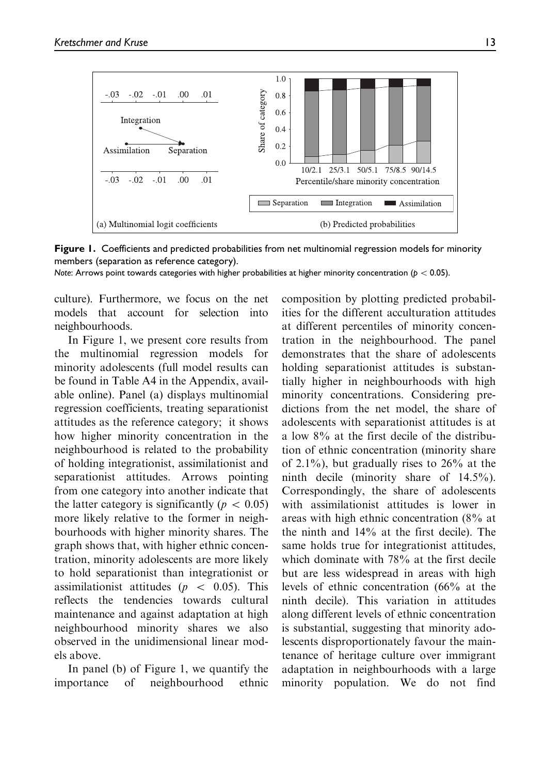

Figure 1. Coefficients and predicted probabilities from net multinomial regression models for minority members (separation as reference category).

Note: Arrows point towards categories with higher probabilities at higher minority concentration ( $p < 0.05$ ).

culture). Furthermore, we focus on the net models that account for selection into neighbourhoods.

In Figure 1, we present core results from the multinomial regression models for minority adolescents (full model results can be found in Table A4 in the Appendix, available online). Panel (a) displays multinomial regression coefficients, treating separationist attitudes as the reference category; it shows how higher minority concentration in the neighbourhood is related to the probability of holding integrationist, assimilationist and separationist attitudes. Arrows pointing from one category into another indicate that the latter category is significantly ( $p \, < \, 0.05$ ) more likely relative to the former in neighbourhoods with higher minority shares. The graph shows that, with higher ethnic concentration, minority adolescents are more likely to hold separationist than integrationist or assimilationist attitudes ( $p \leq 0.05$ ). This reflects the tendencies towards cultural maintenance and against adaptation at high neighbourhood minority shares we also observed in the unidimensional linear models above.

In panel (b) of Figure 1, we quantify the importance of neighbourhood ethnic

composition by plotting predicted probabilities for the different acculturation attitudes at different percentiles of minority concentration in the neighbourhood. The panel demonstrates that the share of adolescents holding separationist attitudes is substantially higher in neighbourhoods with high minority concentrations. Considering predictions from the net model, the share of adolescents with separationist attitudes is at a low 8% at the first decile of the distribution of ethnic concentration (minority share of 2.1%), but gradually rises to  $26\%$  at the ninth decile (minority share of 14.5%). Correspondingly, the share of adolescents with assimilationist attitudes is lower in areas with high ethnic concentration (8% at the ninth and 14% at the first decile). The same holds true for integrationist attitudes, which dominate with 78% at the first decile but are less widespread in areas with high levels of ethnic concentration (66% at the ninth decile). This variation in attitudes along different levels of ethnic concentration is substantial, suggesting that minority adolescents disproportionately favour the maintenance of heritage culture over immigrant adaptation in neighbourhoods with a large minority population. We do not find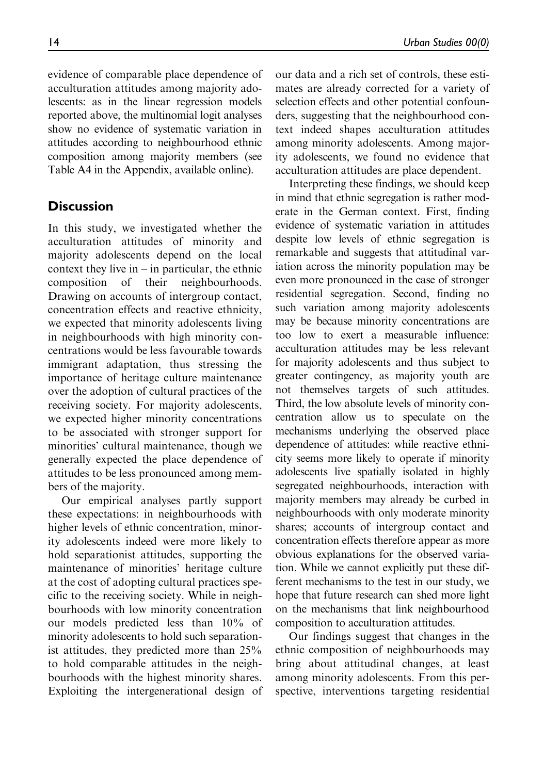evidence of comparable place dependence of acculturation attitudes among majority adolescents: as in the linear regression models reported above, the multinomial logit analyses show no evidence of systematic variation in attitudes according to neighbourhood ethnic composition among majority members (see Table A4 in the Appendix, available online).

## **Discussion**

In this study, we investigated whether the acculturation attitudes of minority and majority adolescents depend on the local context they live in  $-$  in particular, the ethnic composition of their neighbourhoods. Drawing on accounts of intergroup contact, concentration effects and reactive ethnicity, we expected that minority adolescents living in neighbourhoods with high minority concentrations would be less favourable towards immigrant adaptation, thus stressing the importance of heritage culture maintenance over the adoption of cultural practices of the receiving society. For majority adolescents, we expected higher minority concentrations to be associated with stronger support for minorities' cultural maintenance, though we generally expected the place dependence of attitudes to be less pronounced among members of the majority.

Our empirical analyses partly support these expectations: in neighbourhoods with higher levels of ethnic concentration, minority adolescents indeed were more likely to hold separationist attitudes, supporting the maintenance of minorities' heritage culture at the cost of adopting cultural practices specific to the receiving society. While in neighbourhoods with low minority concentration our models predicted less than 10% of minority adolescents to hold such separationist attitudes, they predicted more than 25% to hold comparable attitudes in the neighbourhoods with the highest minority shares. Exploiting the intergenerational design of our data and a rich set of controls, these estimates are already corrected for a variety of selection effects and other potential confounders, suggesting that the neighbourhood context indeed shapes acculturation attitudes among minority adolescents. Among majority adolescents, we found no evidence that acculturation attitudes are place dependent.

Interpreting these findings, we should keep in mind that ethnic segregation is rather moderate in the German context. First, finding evidence of systematic variation in attitudes despite low levels of ethnic segregation is remarkable and suggests that attitudinal variation across the minority population may be even more pronounced in the case of stronger residential segregation. Second, finding no such variation among majority adolescents may be because minority concentrations are too low to exert a measurable influence: acculturation attitudes may be less relevant for majority adolescents and thus subject to greater contingency, as majority youth are not themselves targets of such attitudes. Third, the low absolute levels of minority concentration allow us to speculate on the mechanisms underlying the observed place dependence of attitudes: while reactive ethnicity seems more likely to operate if minority adolescents live spatially isolated in highly segregated neighbourhoods, interaction with majority members may already be curbed in neighbourhoods with only moderate minority shares; accounts of intergroup contact and concentration effects therefore appear as more obvious explanations for the observed variation. While we cannot explicitly put these different mechanisms to the test in our study, we hope that future research can shed more light on the mechanisms that link neighbourhood composition to acculturation attitudes.

Our findings suggest that changes in the ethnic composition of neighbourhoods may bring about attitudinal changes, at least among minority adolescents. From this perspective, interventions targeting residential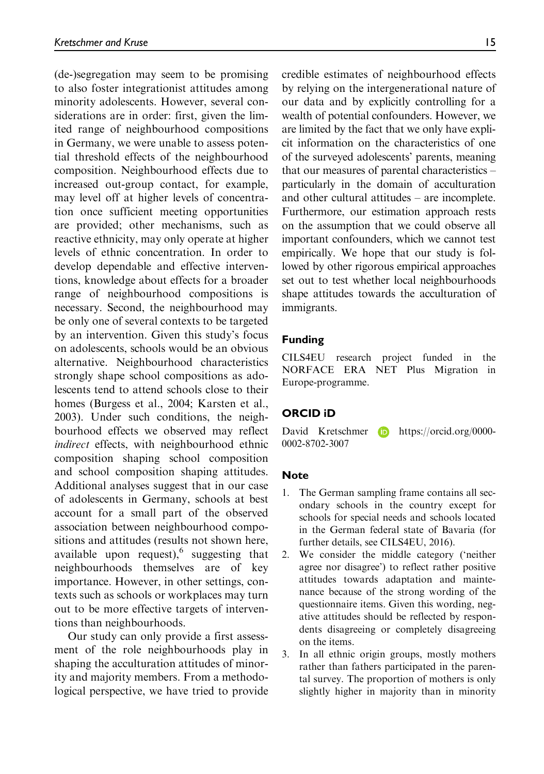(de-)segregation may seem to be promising to also foster integrationist attitudes among minority adolescents. However, several considerations are in order: first, given the limited range of neighbourhood compositions in Germany, we were unable to assess potential threshold effects of the neighbourhood composition. Neighbourhood effects due to increased out-group contact, for example, may level off at higher levels of concentration once sufficient meeting opportunities are provided; other mechanisms, such as reactive ethnicity, may only operate at higher levels of ethnic concentration. In order to develop dependable and effective interventions, knowledge about effects for a broader range of neighbourhood compositions is necessary. Second, the neighbourhood may be only one of several contexts to be targeted by an intervention. Given this study's focus on adolescents, schools would be an obvious alternative. Neighbourhood characteristics strongly shape school compositions as adolescents tend to attend schools close to their homes (Burgess et al., 2004; Karsten et al., 2003). Under such conditions, the neighbourhood effects we observed may reflect indirect effects, with neighbourhood ethnic composition shaping school composition and school composition shaping attitudes. Additional analyses suggest that in our case of adolescents in Germany, schools at best account for a small part of the observed association between neighbourhood compositions and attitudes (results not shown here, available upon request), suggesting that neighbourhoods themselves are of key importance. However, in other settings, contexts such as schools or workplaces may turn out to be more effective targets of interventions than neighbourhoods.

Our study can only provide a first assessment of the role neighbourhoods play in shaping the acculturation attitudes of minority and majority members. From a methodological perspective, we have tried to provide credible estimates of neighbourhood effects by relying on the intergenerational nature of our data and by explicitly controlling for a wealth of potential confounders. However, we are limited by the fact that we only have explicit information on the characteristics of one of the surveyed adolescents' parents, meaning that our measures of parental characteristics – particularly in the domain of acculturation and other cultural attitudes – are incomplete. Furthermore, our estimation approach rests on the assumption that we could observe all important confounders, which we cannot test empirically. We hope that our study is followed by other rigorous empirical approaches set out to test whether local neighbourhoods shape attitudes towards the acculturation of immigrants.

#### Funding

CILS4EU research project funded in the NORFACE ERA NET Plus Migration in Europe-programme.

#### ORCID iD

David Kretschmer **iD** [https://orcid.org/0000-](https://orcid.org/0000-0002-8702-3007) [0002-8702-3007](https://orcid.org/0000-0002-8702-3007)

#### **Note**

- 1. The German sampling frame contains all secondary schools in the country except for schools for special needs and schools located in the German federal state of Bavaria (for further details, see CILS4EU, 2016).
- 2. We consider the middle category ('neither agree nor disagree') to reflect rather positive attitudes towards adaptation and maintenance because of the strong wording of the questionnaire items. Given this wording, negative attitudes should be reflected by respondents disagreeing or completely disagreeing on the items.
- 3. In all ethnic origin groups, mostly mothers rather than fathers participated in the parental survey. The proportion of mothers is only slightly higher in majority than in minority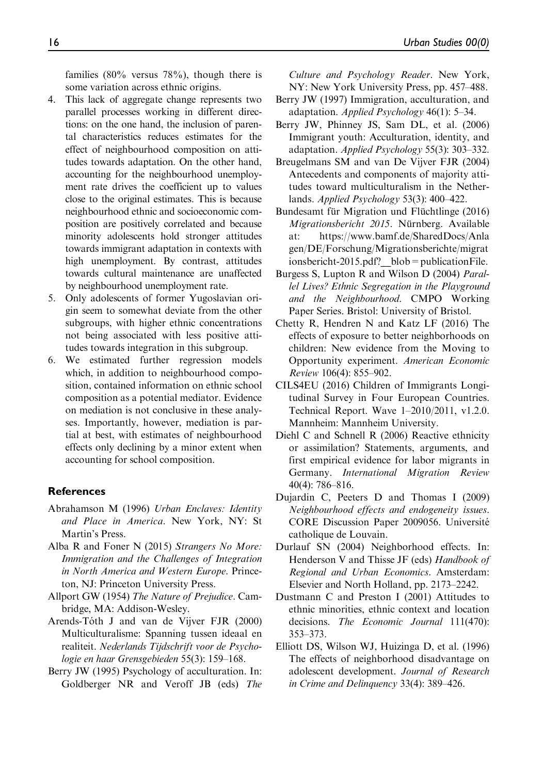families (80% versus 78%), though there is some variation across ethnic origins.

- 4. This lack of aggregate change represents two parallel processes working in different directions: on the one hand, the inclusion of parental characteristics reduces estimates for the effect of neighbourhood composition on attitudes towards adaptation. On the other hand, accounting for the neighbourhood unemployment rate drives the coefficient up to values close to the original estimates. This is because neighbourhood ethnic and socioeconomic composition are positively correlated and because minority adolescents hold stronger attitudes towards immigrant adaptation in contexts with high unemployment. By contrast, attitudes towards cultural maintenance are unaffected by neighbourhood unemployment rate.
- 5. Only adolescents of former Yugoslavian origin seem to somewhat deviate from the other subgroups, with higher ethnic concentrations not being associated with less positive attitudes towards integration in this subgroup.
- 6. We estimated further regression models which, in addition to neighbourhood composition, contained information on ethnic school composition as a potential mediator. Evidence on mediation is not conclusive in these analyses. Importantly, however, mediation is partial at best, with estimates of neighbourhood effects only declining by a minor extent when accounting for school composition.

#### References

- Abrahamson M (1996) Urban Enclaves: Identity and Place in America. New York, NY: St Martin's Press.
- Alba R and Foner N (2015) Strangers No More: Immigration and the Challenges of Integration in North America and Western Europe. Princeton, NJ: Princeton University Press.
- Allport GW (1954) The Nature of Prejudice. Cambridge, MA: Addison-Wesley.
- Arends-Tóth J and van de Vijver FJR (2000) Multiculturalisme: Spanning tussen ideaal en realiteit. Nederlands Tijdschrift voor de Psychologie en haar Grensgebieden 55(3): 159–168.
- Berry JW (1995) Psychology of acculturation. In: Goldberger NR and Veroff JB (eds) The

Culture and Psychology Reader. New York,

- NY: New York University Press, pp. 457–488. Berry JW (1997) Immigration, acculturation, and adaptation. Applied Psychology 46(1): 5–34.
- Berry JW, Phinney JS, Sam DL, et al. (2006) Immigrant youth: Acculturation, identity, and adaptation. Applied Psychology 55(3): 303–332.
- Breugelmans SM and van De Vijver FJR (2004) Antecedents and components of majority attitudes toward multiculturalism in the Netherlands. Applied Psychology 53(3): 400–422.
- Bundesamt für Migration und Flüchtlinge (2016) Migrationsbericht 2015. Nürnberg. Available at: [https://www.bamf.de/SharedDocs/Anla](https://www.bamf.de/SharedDocs/Anlagen/DE/Forschung/Migrationsberichte/migrationsbericht-2015.pdf?__blob=publicationFile) [gen/DE/Forschung/Migrationsberichte/migrat](https://www.bamf.de/SharedDocs/Anlagen/DE/Forschung/Migrationsberichte/migrationsbericht-2015.pdf?__blob=publicationFile) ionsbericht-2015.pdf? blob=publicationFile.
- Burgess S, Lupton R and Wilson D (2004) Parallel Lives? Ethnic Segregation in the Playground and the Neighbourhood. CMPO Working Paper Series. Bristol: University of Bristol.
- Chetty R, Hendren N and Katz LF (2016) The effects of exposure to better neighborhoods on children: New evidence from the Moving to Opportunity experiment. American Economic Review 106(4): 855–902.
- CILS4EU (2016) Children of Immigrants Longitudinal Survey in Four European Countries. Technical Report. Wave 1–2010/2011, v1.2.0. Mannheim: Mannheim University.
- Diehl C and Schnell R (2006) Reactive ethnicity or assimilation? Statements, arguments, and first empirical evidence for labor migrants in Germany. International Migration Review 40(4): 786–816.
- Dujardin C, Peeters D and Thomas I (2009) Neighbourhood effects and endogeneity issues. CORE Discussion Paper 2009056. Universite´ catholique de Louvain.
- Durlauf SN (2004) Neighborhood effects. In: Henderson V and Thisse JF (eds) Handbook of Regional and Urban Economics. Amsterdam: Elsevier and North Holland, pp. 2173–2242.
- Dustmann C and Preston I (2001) Attitudes to ethnic minorities, ethnic context and location decisions. The Economic Journal 111(470): 353–373.
- Elliott DS, Wilson WJ, Huizinga D, et al. (1996) The effects of neighborhood disadvantage on adolescent development. Journal of Research in Crime and Delinquency 33(4): 389–426.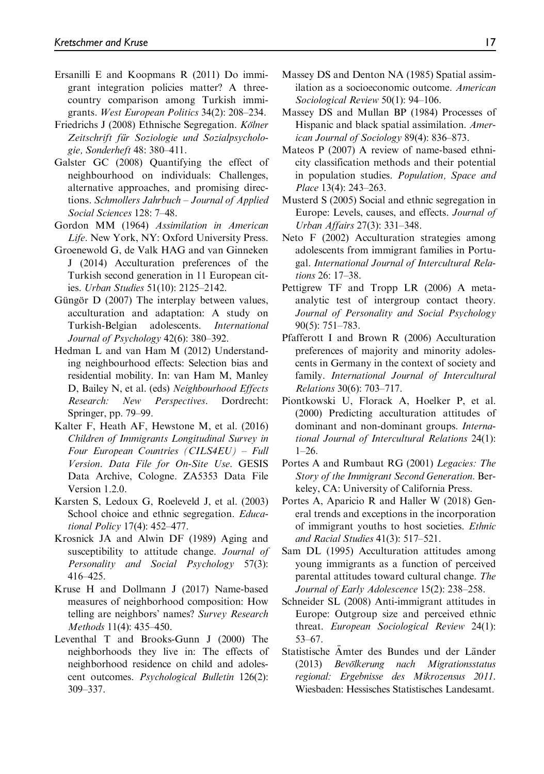- Ersanilli E and Koopmans R (2011) Do immigrant integration policies matter? A threecountry comparison among Turkish immigrants. West European Politics 34(2): 208–234.
- Friedrichs J (2008) Ethnische Segregation. Kölner Zeitschrift für Soziologie und Sozialpsychologie, Sonderheft 48: 380–411.
- Galster GC (2008) Quantifying the effect of neighbourhood on individuals: Challenges, alternative approaches, and promising directions. Schmollers Jahrbuch – Journal of Applied Social Sciences 128: 7–48.
- Gordon MM (1964) Assimilation in American Life. New York, NY: Oxford University Press.
- Groenewold G, de Valk HAG and van Ginneken J (2014) Acculturation preferences of the Turkish second generation in 11 European cities. Urban Studies 51(10): 2125–2142.
- Güngör D  $(2007)$  The interplay between values, acculturation and adaptation: A study on Turkish-Belgian adolescents. International Journal of Psychology 42(6): 380–392.
- Hedman L and van Ham M (2012) Understanding neighbourhood effects: Selection bias and residential mobility. In: van Ham M, Manley D, Bailey N, et al. (eds) Neighbourhood Effects Research: New Perspectives. Dordrecht: Springer, pp. 79–99.
- Kalter F, Heath AF, Hewstone M, et al. (2016) Children of Immigrants Longitudinal Survey in Four European Countries (CILS4EU) – Full Version. Data File for On-Site Use. GESIS Data Archive, Cologne. ZA5353 Data File Version 1.2.0.
- Karsten S, Ledoux G, Roeleveld J, et al. (2003) School choice and ethnic segregation. Educational Policy 17(4): 452–477.
- Krosnick JA and Alwin DF (1989) Aging and susceptibility to attitude change. Journal of Personality and Social Psychology 57(3): 416–425.
- Kruse H and Dollmann J (2017) Name-based measures of neighborhood composition: How telling are neighbors' names? Survey Research Methods 11(4): 435–450.
- Leventhal T and Brooks-Gunn J (2000) The neighborhoods they live in: The effects of neighborhood residence on child and adolescent outcomes. Psychological Bulletin 126(2): 309–337.
- Massey DS and Denton NA (1985) Spatial assimilation as a socioeconomic outcome. American Sociological Review 50(1): 94–106.
- Massey DS and Mullan BP (1984) Processes of Hispanic and black spatial assimilation. American Journal of Sociology 89(4): 836–873.
- Mateos P (2007) A review of name-based ethnicity classification methods and their potential in population studies. Population, Space and Place 13(4): 243–263.
- Musterd S (2005) Social and ethnic segregation in Europe: Levels, causes, and effects. Journal of Urban Affairs 27(3): 331–348.
- Neto F (2002) Acculturation strategies among adolescents from immigrant families in Portugal. International Journal of Intercultural Relations 26: 17–38.
- Pettigrew TF and Tropp LR (2006) A metaanalytic test of intergroup contact theory. Journal of Personality and Social Psychology 90(5): 751–783.
- Pfafferott I and Brown R (2006) Acculturation preferences of majority and minority adolescents in Germany in the context of society and family. International Journal of Intercultural Relations 30(6): 703–717.
- Piontkowski U, Florack A, Hoelker P, et al. (2000) Predicting acculturation attitudes of dominant and non-dominant groups. International Journal of Intercultural Relations 24(1):  $1-26$ .
- Portes A and Rumbaut RG (2001) Legacies: The Story of the Immigrant Second Generation. Berkeley, CA: University of California Press.
- Portes A, Aparicio R and Haller W (2018) General trends and exceptions in the incorporation of immigrant youths to host societies. Ethnic and Racial Studies 41(3): 517–521.
- Sam DL (1995) Acculturation attitudes among young immigrants as a function of perceived parental attitudes toward cultural change. The Journal of Early Adolescence 15(2): 238–258.
- Schneider SL (2008) Anti-immigrant attitudes in Europe: Outgroup size and perceived ethnic threat. European Sociological Review 24(1): 53–67.
- Statistische Ämter des Bundes und der Länder (2013) Bevölkerung nach Migrationsstatus regional: Ergebnisse des Mikrozensus 2011. Wiesbaden: Hessisches Statistisches Landesamt.